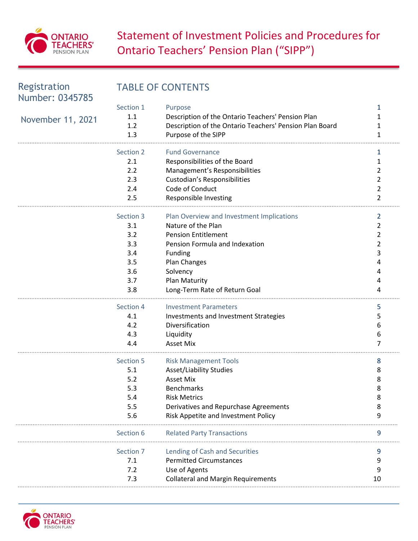

# **Statement of Investment Policies and Procedures for** Ontario Teachers' Pension Plan ("SIPP")

| Registration<br>Number: 0345785 | <b>TABLE OF CONTENTS</b> |                                                         |    |  |
|---------------------------------|--------------------------|---------------------------------------------------------|----|--|
|                                 | Section 1                | Purpose                                                 | 1  |  |
| November 11, 2021               | 1.1                      | Description of the Ontario Teachers' Pension Plan       | 1  |  |
|                                 | 1.2                      | Description of the Ontario Teachers' Pension Plan Board |    |  |
|                                 | 1.3                      | Purpose of the SIPP                                     | 1  |  |
|                                 | Section 2                | <b>Fund Governance</b>                                  | 1  |  |
|                                 | 2.1                      | Responsibilities of the Board                           | 1  |  |
|                                 | 2.2                      | Management's Responsibilities                           | 2  |  |
|                                 | 2.3                      | Custodian's Responsibilities                            | 2  |  |
|                                 | 2.4                      | Code of Conduct                                         | 2  |  |
|                                 | 2.5                      | Responsible Investing                                   | 2  |  |
|                                 | Section 3                | Plan Overview and Investment Implications               | 2  |  |
|                                 | 3.1                      | Nature of the Plan                                      | 2  |  |
|                                 | 3.2                      | <b>Pension Entitlement</b>                              | 2  |  |
|                                 | 3.3                      | Pension Formula and Indexation                          | 2  |  |
|                                 | 3.4                      | <b>Funding</b>                                          | 3  |  |
|                                 | 3.5                      | Plan Changes                                            |    |  |
|                                 | 3.6                      | Solvency                                                |    |  |
|                                 | 3.7                      | Plan Maturity                                           |    |  |
|                                 | 3.8                      | Long-Term Rate of Return Goal                           |    |  |
|                                 | Section 4                | <b>Investment Parameters</b>                            | 5  |  |
|                                 | 4.1                      | Investments and Investment Strategies                   | 5  |  |
|                                 | 4.2                      | Diversification                                         | 6  |  |
|                                 | 4.3                      | Liquidity                                               | 6  |  |
|                                 | 4.4                      | <b>Asset Mix</b>                                        | 7  |  |
|                                 | Section 5                | <b>Risk Management Tools</b>                            | 8  |  |
|                                 | 5.1                      | Asset/Liability Studies                                 | 8  |  |
|                                 | 5.2                      | <b>Asset Mix</b>                                        | 8  |  |
|                                 | 5.3                      | Benchmarks                                              | 8  |  |
|                                 | 5.4                      | <b>Risk Metrics</b>                                     | 8  |  |
|                                 | 5.5                      | Derivatives and Repurchase Agreements                   |    |  |
|                                 | 5.6                      | Risk Appetite and Investment Policy                     | 9  |  |
|                                 | Section 6                | <b>Related Party Transactions</b>                       | 9  |  |
|                                 | Section 7                | Lending of Cash and Securities                          |    |  |
|                                 | 7.1                      | <b>Permitted Circumstances</b>                          | 9  |  |
|                                 | 7.2                      | Use of Agents                                           | 9  |  |
|                                 | 7.3                      | <b>Collateral and Margin Requirements</b>               | 10 |  |

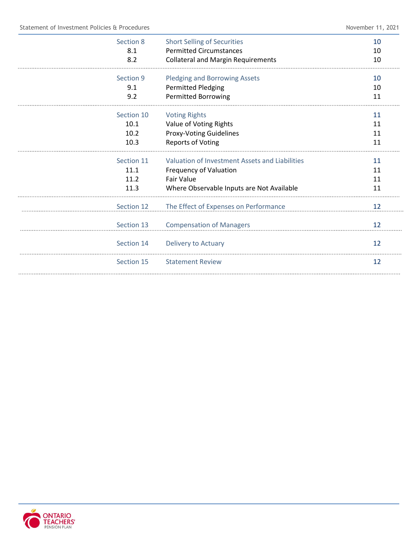| Section 8  | <b>Short Selling of Securities</b>             | 10 |
|------------|------------------------------------------------|----|
| 8.1        | <b>Permitted Circumstances</b>                 | 10 |
| 8.2        | <b>Collateral and Margin Requirements</b>      | 10 |
| Section 9  | <b>Pledging and Borrowing Assets</b>           | 10 |
| 9.1        | <b>Permitted Pledging</b>                      | 10 |
| 9.2        | <b>Permitted Borrowing</b>                     | 11 |
| Section 10 | <b>Voting Rights</b>                           | 11 |
| 10.1       | Value of Voting Rights                         | 11 |
| 10.2       | <b>Proxy-Voting Guidelines</b>                 | 11 |
| 10.3       | <b>Reports of Voting</b>                       | 11 |
| Section 11 | Valuation of Investment Assets and Liabilities | 11 |
| 11.1       | <b>Frequency of Valuation</b>                  | 11 |
| 11.2       | <b>Fair Value</b>                              | 11 |
| 11.3       | Where Observable Inputs are Not Available      | 11 |
| Section 12 | The Effect of Expenses on Performance          | 12 |
| Section 13 | <b>Compensation of Managers</b>                | 12 |
| Section 14 | Delivery to Actuary                            | 12 |
| Section 15 | <b>Statement Review</b>                        | 12 |
|            |                                                |    |

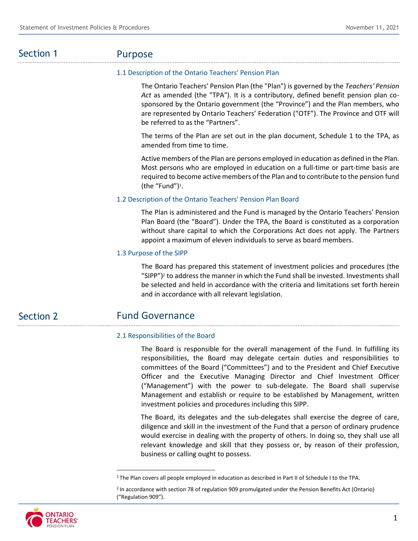# Section 1

# Purpose

# 1.1 Description of the Ontario Teachers' Pension Plan

The Ontario Teachers' Pension Plan (the "Plan") is governed by the *Teachers' Pension Act* as amended (the "TPA"). It is a contributory, defined benefit pension plan co‐ sponsored by the Ontario government (the "Province") and the Plan members, who are represented by Ontario Teachers' Federation ("OTF"). The Province and OTF will be referred to as the "Partners".

The terms of the Plan are set out in the plan document, Schedule 1 to the TPA, as amended from time to time.

Active members of the Plan are persons employed in education as defined in the Plan. Most persons who are employed in education on a full-time or part-time basis are required to become active members of the Plan and to contribute to the pension fund (the "Fund")<sup>1</sup> .

# 1.2 Description of the Ontario Teachers' Pension Plan Board

The Plan is administered and the Fund is managed by the Ontario Teachers' Pension Plan Board (the "Board"). Under the TPA, the Board is constituted as a corporation without share capital to which the Corporations Act does not apply. The Partners appoint a maximum of eleven individuals to serve as board members.

# 1.3 Purpose of the SIPP

The Board has prepared this statement of investment policies and procedures (the "SIPP")<sup>2</sup> to address the manner in which the Fund shall be invested. Investments shall be selected and held in accordance with the criteria and limitations set forth herein and in accordance with all relevant legislation.

#### Fund Governance Section 2

# 2.1 Responsibilities of the Board

The Board is responsible for the overall management of the Fund. In fulfilling its responsibilities, the Board may delegate certain duties and responsibilities to committees of the Board ("Committees") and to the President and Chief Executive Officer and the Executive Managing Director and Chief Investment Officer ("Management") with the power to sub‐delegate. The Board shall supervise Management and establish or require to be established by Management, written investment policies and procedures including this SIPP.

The Board, its delegates and the sub-delegates shall exercise the degree of care, diligence and skill in the investment of the Fund that a person of ordinary prudence would exercise in dealing with the property of others. In doing so, they shall use all relevant knowledge and skill that they possess or, by reason of their profession, business or calling ought to possess.



<sup>&</sup>lt;sup>1</sup> The Plan covers all people employed in education as described in Part II of Schedule I to the TPA.

<sup>2</sup> In accordance with section 78 of regulation 909 promulgated under the Pension Benefits Act (Ontario) ("Regulation 909").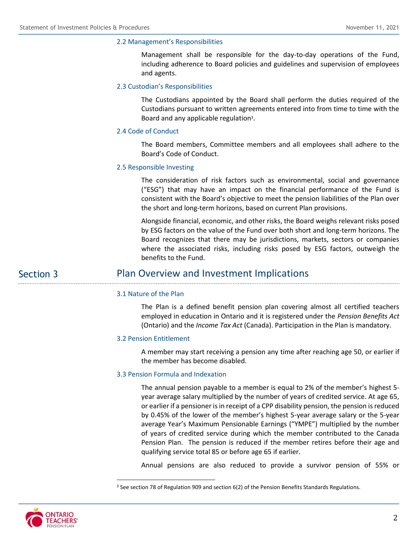## 2.2 Management's Responsibilities

Management shall be responsible for the day-to-day operations of the Fund, including adherence to Board policies and guidelines and supervision of employees and agents.

## 2.3 Custodian's Responsibilities

The Custodians appointed by the Board shall perform the duties required of the Custodians pursuant to written agreements entered into from time to time with the Board and any applicable regulation<sup>3</sup>.

## 2.4 Code of Conduct

The Board members, Committee members and all employees shall adhere to the Board's Code of Conduct.

### 2.5 Responsible Investing

The consideration of risk factors such as environmental, social and governance ("ESG") that may have an impact on the financial performance of the Fund is consistent with the Board's objective to meet the pension liabilities of the Plan over the short and long-term horizons, based on current Plan provisions.

Alongside financial, economic, and other risks, the Board weighs relevant risks posed by ESG factors on the value of the Fund over both short and long-term horizons. The Board recognizes that there may be jurisdictions, markets, sectors or companies where the associated risks, including risks posed by ESG factors, outweigh the benefits to the Fund.

# Plan Overview and Investment Implications

### 3.1 Nature of the Plan

The Plan is a defined benefit pension plan covering almost all certified teachers employed in education in Ontario and it is registered under the *Pension Benefits Act* (Ontario) and the *Income Tax Act* (Canada). Participation in the Plan is mandatory.

### 3.2 Pension Entitlement

A member may start receiving a pension any time after reaching age 50, or earlier if the member has become disabled.

# 3.3 Pension Formula and Indexation

The annual pension payable to a member is equal to 2% of the member's highest 5 year average salary multiplied by the number of years of credited service. At age 65, or earlier if a pensioner is in receipt of a CPP disability pension, the pension is reduced by 0.45% of the lower of the member's highest 5-year average salary or the 5-year average Year's Maximum Pensionable Earnings ("YMPE") multiplied by the number of years of credited service during which the member contributed to the Canada Pension Plan. The pension is reduced if the member retires before their age and qualifying service total 85 or before age 65 if earlier.

Annual pensions are also reduced to provide a survivor pension of 55% or



Section 3

<sup>3</sup> See section 78 of Regulation 909 and section 6(2) of the Pension Benefits Standards Regulations.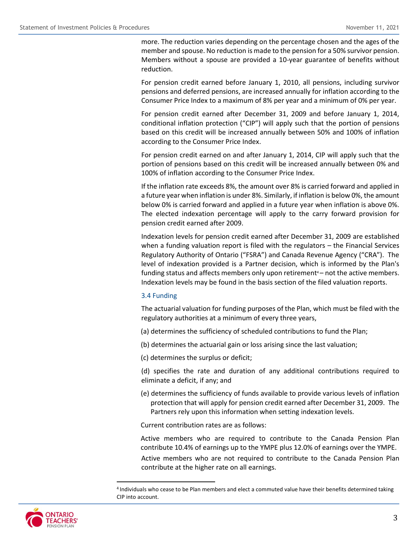more. The reduction varies depending on the percentage chosen and the ages of the member and spouse. No reduction is made to the pension for a 50% survivor pension. Members without a spouse are provided a 10-year guarantee of benefits without reduction.

For pension credit earned before January 1, 2010, all pensions, including survivor pensions and deferred pensions, are increased annually for inflation according to the Consumer Price Index to a maximum of 8% per year and a minimum of 0% per year.

For pension credit earned after December 31, 2009 and before January 1, 2014, conditional inflation protection ("CIP") will apply such that the portion of pensions based on this credit will be increased annually between 50% and 100% of inflation according to the Consumer Price Index.

For pension credit earned on and after January 1, 2014, CIP will apply such that the portion of pensions based on this credit will be increased annually between 0% and 100% of inflation according to the Consumer Price Index.

If the inflation rate exceeds 8%, the amount over 8% is carried forward and applied in a future year when inflation is under 8%. Similarly, if inflation is below 0%, the amount below 0% is carried forward and applied in a future year when inflation is above 0%. The elected indexation percentage will apply to the carry forward provision for pension credit earned after 2009.

Indexation levels for pension credit earned after December 31, 2009 are established when a funding valuation report is filed with the regulators – the Financial Services Regulatory Authority of Ontario ("FSRA") and Canada Revenue Agency ("CRA"). The level of indexation provided is a Partner decision, which is informed by the Plan's funding status and affects members only upon retirement<sup>4</sup> – not the active members. Indexation levels may be found in the basis section of the filed valuation reports.

### 3.4 Funding

The actuarial valuation for funding purposes of the Plan, which must be filed with the regulatory authorities at a minimum of every three years,

- (a) determines the sufficiency of scheduled contributions to fund the Plan;
- (b) determines the actuarial gain or loss arising since the last valuation;

(c) determines the surplus or deficit;

(d) specifies the rate and duration of any additional contributions required to eliminate a deficit, if any; and

(e) determines the sufficiency of funds available to provide various levels of inflation protection that will apply for pension credit earned after December 31, 2009. The Partners rely upon this information when setting indexation levels.

Current contribution rates are as follows:

Active members who are required to contribute to the Canada Pension Plan contribute 10.4% of earnings up to the YMPE plus 12.0% of earnings over the YMPE. Active members who are not required to contribute to the Canada Pension Plan

contribute at the higher rate on all earnings.



<sup>4</sup> Individuals who cease to be Plan members and elect a commuted value have their benefits determined taking CIP into account.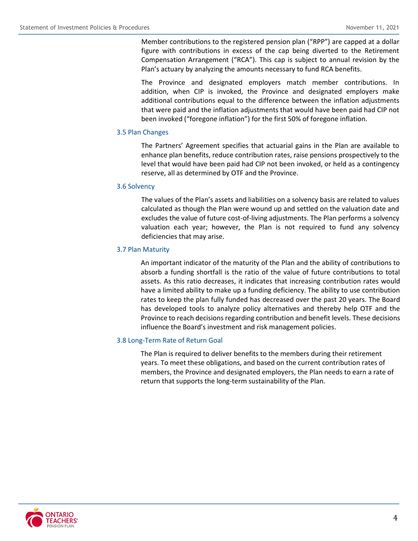Member contributions to the registered pension plan ("RPP") are capped at a dollar figure with contributions in excess of the cap being diverted to the Retirement Compensation Arrangement ("RCA"). This cap is subject to annual revision by the Plan's actuary by analyzing the amounts necessary to fund RCA benefits.

The Province and designated employers match member contributions. In addition, when CIP is invoked, the Province and designated employers make additional contributions equal to the difference between the inflation adjustments that were paid and the inflation adjustments that would have been paid had CIP not been invoked ("foregone inflation") for the first 50% of foregone inflation.

# 3.5 Plan Changes

The Partners' Agreement specifies that actuarial gains in the Plan are available to enhance plan benefits, reduce contribution rates, raise pensions prospectively to the level that would have been paid had CIP not been invoked, or held as a contingency reserve, all as determined by OTF and the Province.

# 3.6 Solvency

The values of the Plan's assets and liabilities on a solvency basis are related to values calculated as though the Plan were wound up and settled on the valuation date and excludes the value of future cost-of-living adjustments. The Plan performs a solvency valuation each year; however, the Plan is not required to fund any solvency deficiencies that may arise.

# 3.7 Plan Maturity

An important indicator of the maturity of the Plan and the ability of contributions to absorb a funding shortfall is the ratio of the value of future contributions to total assets. As this ratio decreases, it indicates that increasing contribution rates would have a limited ability to make up a funding deficiency. The ability to use contribution rates to keep the plan fully funded has decreased over the past 20 years. The Board has developed tools to analyze policy alternatives and thereby help OTF and the Province to reach decisions regarding contribution and benefit levels. These decisions influence the Board's investment and risk management policies.

# 3.8 Long-Term Rate of Return Goal

The Plan is required to deliver benefits to the members during their retirement years. To meet these obligations, and based on the current contribution rates of members, the Province and designated employers, the Plan needs to earn a rate of return that supports the long-term sustainability of the Plan.

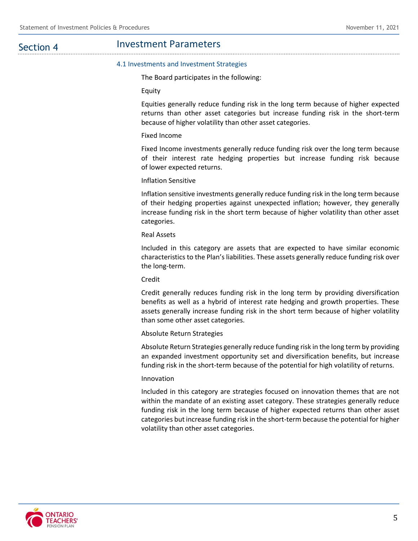Section 4

#### 4.1 Investments and Investment Strategies

The Board participates in the following:

Equity

Equities generally reduce funding risk in the long term because of higher expected returns than other asset categories but increase funding risk in the short-term because of higher volatility than other asset categories.

### Fixed Income

Fixed Income investments generally reduce funding risk over the long term because of their interest rate hedging properties but increase funding risk because of lower expected returns.

## Inflation Sensitive

Inflation sensitive investments generally reduce funding risk in the long term because of their hedging properties against unexpected inflation; however, they generally increase funding risk in the short term because of higher volatility than other asset categories.

#### Real Assets

Included in this category are assets that are expected to have similar economic characteristics to the Plan's liabilities. These assets generally reduce funding risk over the long-term.

#### Credit

Credit generally reduces funding risk in the long term by providing diversification benefits as well as a hybrid of interest rate hedging and growth properties. These assets generally increase funding risk in the short term because of higher volatility than some other asset categories.

### Absolute Return Strategies

Absolute Return Strategies generally reduce funding risk in the long term by providing an expanded investment opportunity set and diversification benefits, but increase funding risk in the short-term because of the potential for high volatility of returns.

### Innovation

Included in this category are strategies focused on innovation themes that are not within the mandate of an existing asset category. These strategies generally reduce funding risk in the long term because of higher expected returns than other asset categories but increase funding risk in the short-term because the potential for higher volatility than other asset categories.

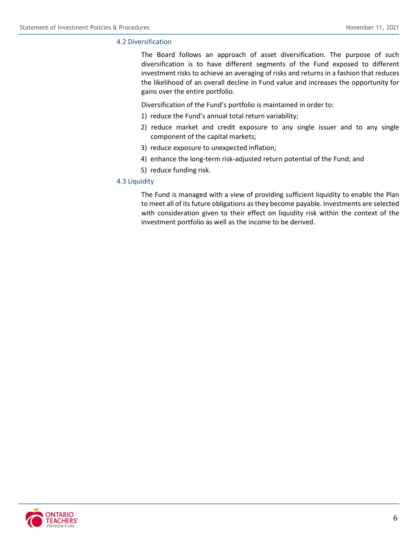# 4.2 Diversification

The Board follows an approach of asset diversification. The purpose of such diversification is to have different segments of the Fund exposed to different investment risks to achieve an averaging of risks and returns in a fashion that reduces the likelihood of an overall decline in Fund value and increases the opportunity for gains over the entire portfolio.

Diversification of the Fund's portfolio is maintained in order to:

- 1) reduce the Fund's annual total return variability;
- 2) reduce market and credit exposure to any single issuer and to any single component of the capital markets;
- 3) reduce exposure to unexpected inflation;
- 4) enhance the long-term risk-adjusted return potential of the Fund; and
- 5) reduce funding risk.

# 4.3 Liquidity

The Fund is managed with a view of providing sufficient liquidity to enable the Plan to meet all of its future obligations as they become payable. Investments are selected with consideration given to their effect on liquidity risk within the context of the investment portfolio as well as the income to be derived.

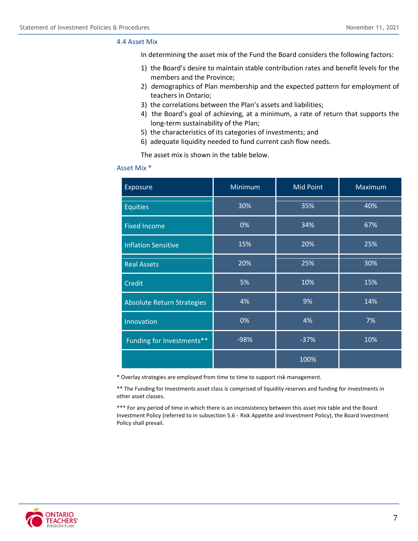#### 4.4 Asset Mix

In determining the asset mix of the Fund the Board considers the following factors:

- 1) the Board's desire to maintain stable contribution rates and benefit levels for the members and the Province;
- 2) demographics of Plan membership and the expected pattern for employment of teachers in Ontario;
- 3) the correlations between the Plan's assets and liabilities;
- 4) the Board's goal of achieving, at a minimum, a rate of return that supports the long-term sustainability of the Plan;
- 5) the characteristics of its categories of investments; and
- 6) adequate liquidity needed to fund current cash flow needs.

The asset mix is shown in the table below.

#### Asset Mix \*

| Exposure                          | Minimum | <b>Mid Point</b> | Maximum |
|-----------------------------------|---------|------------------|---------|
| <b>Equities</b>                   | 30%     | 35%              | 40%     |
| <b>Fixed Income</b>               | 0%      | 34%              | 67%     |
| <b>Inflation Sensitive</b>        | 15%     | 20%              | 25%     |
| <b>Real Assets</b>                | 20%     | 25%              | 30%     |
| <b>Credit</b>                     | 5%      | 10%              | 15%     |
| <b>Absolute Return Strategies</b> | 4%      | 9%               | 14%     |
| Innovation                        | 0%      | 4%               | 7%      |
| Funding for Investments**         | $-98%$  | $-37%$           | 10%     |
|                                   |         | 100%             |         |

\* Overlay strategies are employed from time to time to support risk management.

\*\* The Funding for Investments asset class is comprised of liquidity reserves and funding for investments in other asset classes.

\*\*\* For any period of time in which there is an inconsistency between this asset mix table and the Board Investment Policy (referred to in subsection 5.6 - Risk Appetite and Investment Policy), the Board Investment Policy shall prevail.

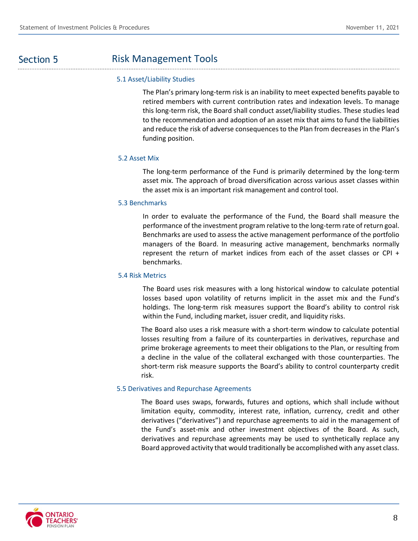# Section 5

# Risk Management Tools

# .............................. 5.1 Asset/Liability Studies

The Plan's primary long-term risk is an inability to meet expected benefits payable to retired members with current contribution rates and indexation levels. To manage this long-term risk, the Board shall conduct asset/liability studies. These studies lead to the recommendation and adoption of an asset mix that aims to fund the liabilities and reduce the risk of adverse consequences to the Plan from decreases in the Plan's funding position.

# 5.2 Asset Mix

The long-term performance of the Fund is primarily determined by the long-term asset mix. The approach of broad diversification across various asset classes within the asset mix is an important risk management and control tool.

# 5.3 Benchmarks

In order to evaluate the performance of the Fund, the Board shall measure the performance of the investment program relative to the long-term rate of return goal. Benchmarks are used to assess the active management performance of the portfolio managers of the Board. In measuring active management, benchmarks normally represent the return of market indices from each of the asset classes or CPI + benchmarks.

# 5.4 Risk Metrics

The Board uses risk measures with a long historical window to calculate potential losses based upon volatility of returns implicit in the asset mix and the Fund's holdings. The long-term risk measures support the Board's ability to control risk within the Fund, including market, issuer credit, and liquidity risks.

The Board also uses a risk measure with a short-term window to calculate potential losses resulting from a failure of its counterparties in derivatives, repurchase and prime brokerage agreements to meet their obligations to the Plan, or resulting from a decline in the value of the collateral exchanged with those counterparties. The short-term risk measure supports the Board's ability to control counterparty credit risk.

# 5.5 Derivatives and Repurchase Agreements

The Board uses swaps, forwards, futures and options, which shall include without limitation equity, commodity, interest rate, inflation, currency, credit and other derivatives ("derivatives") and repurchase agreements to aid in the management of the Fund's asset-mix and other investment objectives of the Board. As such, derivatives and repurchase agreements may be used to synthetically replace any Board approved activity that would traditionally be accomplished with any asset class.

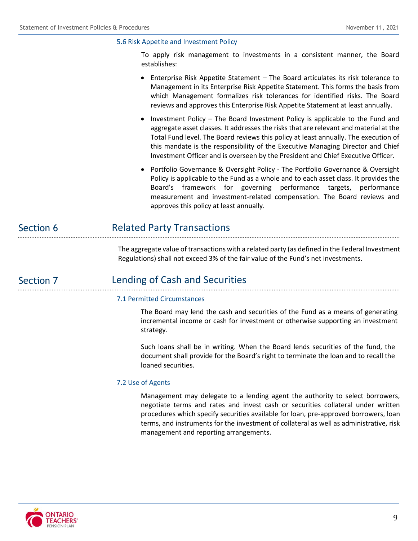# 5.6 Risk Appetite and Investment Policy

To apply risk management to investments in a consistent manner, the Board establishes:

- Enterprise Risk Appetite Statement The Board articulates its risk tolerance to Management in its Enterprise Risk Appetite Statement. This forms the basis from which Management formalizes risk tolerances for identified risks. The Board reviews and approves this Enterprise Risk Appetite Statement at least annually.
- Investment Policy The Board Investment Policy is applicable to the Fund and aggregate asset classes. It addresses the risks that are relevant and material at the Total Fund level. The Board reviews this policy at least annually. The execution of this mandate is the responsibility of the Executive Managing Director and Chief Investment Officer and is overseen by the President and Chief Executive Officer.
- Portfolio Governance & Oversight Policy The Portfolio Governance & Oversight Policy is applicable to the Fund as a whole and to each asset class. It provides the Board's framework for governing performance targets, performance measurement and investment-related compensation. The Board reviews and approves this policy at least annually.

#### Related Party Transactions Section 6

The aggregate value of transactions with a related party (as defined in the Federal Investment Regulations) shall not exceed 3% of the fair value of the Fund's net investments.

# Section 7

# Lending of Cash and Securities

# 7.1 Permitted Circumstances

The Board may lend the cash and securities of the Fund as a means of generating incremental income or cash for investment or otherwise supporting an investment strategy.

Such loans shall be in writing. When the Board lends securities of the fund, the document shall provide for the Board's right to terminate the loan and to recall the loaned securities.

# 7.2 Use of Agents

Management may delegate to a lending agent the authority to select borrowers, negotiate terms and rates and invest cash or securities collateral under written procedures which specify securities available for loan, pre-approved borrowers, loan terms, and instruments for the investment of collateral as well as administrative, risk management and reporting arrangements.

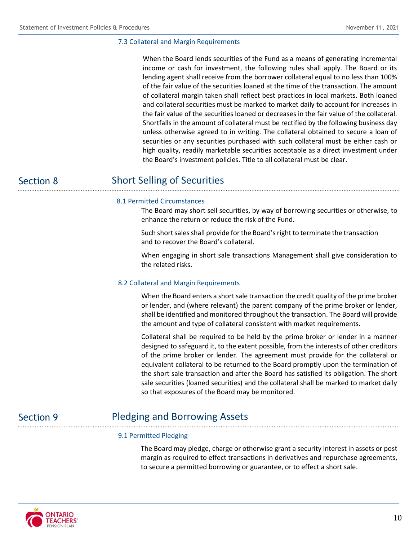## 7.3 Collateral and Margin Requirements

When the Board lends securities of the Fund as a means of generating incremental income or cash for investment, the following rules shall apply. The Board or its lending agent shall receive from the borrower collateral equal to no less than 100% of the fair value of the securities loaned at the time of the transaction. The amount of collateral margin taken shall reflect best practices in local markets. Both loaned and collateral securities must be marked to market daily to account for increases in the fair value of the securities loaned or decreases in the fair value of the collateral. Shortfalls in the amount of collateral must be rectified by the following business day unless otherwise agreed to in writing. The collateral obtained to secure a loan of securities or any securities purchased with such collateral must be either cash or high quality, readily marketable securities acceptable as a direct investment under the Board's investment policies. Title to all collateral must be clear.

Section 8

# Short Selling of Securities

### 8.1 Permitted Circumstances

The Board may short sell securities, by way of borrowing securities or otherwise, to enhance the return or reduce the risk of the Fund.

Such short sales shall provide for the Board's right to terminate the transaction and to recover the Board's collateral.

When engaging in short sale transactions Management shall give consideration to the related risks.

### 8.2 Collateral and Margin Requirements

When the Board enters a short sale transaction the credit quality of the prime broker or lender, and (where relevant) the parent company of the prime broker or lender, shall be identified and monitored throughout the transaction. The Board will provide the amount and type of collateral consistent with market requirements.

Collateral shall be required to be held by the prime broker or lender in a manner designed to safeguard it, to the extent possible, from the interests of other creditors of the prime broker or lender. The agreement must provide for the collateral or equivalent collateral to be returned to the Board promptly upon the termination of the short sale transaction and after the Board has satisfied its obligation. The short sale securities (loaned securities) and the collateral shall be marked to market daily so that exposures of the Board may be monitored.

# Section 9

# Pledging and Borrowing Assets

# 9.1 Permitted Pledging

The Board may pledge, charge or otherwise grant a security interest in assets or post margin as required to effect transactions in derivatives and repurchase agreements, to secure a permitted borrowing or guarantee, or to effect a short sale.

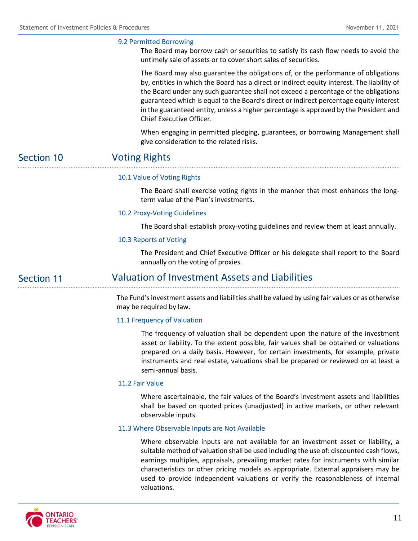# 9.2 Permitted Borrowing

The Board may borrow cash or securities to satisfy its cash flow needs to avoid the untimely sale of assets or to cover short sales of securities.

The Board may also guarantee the obligations of, or the performance of obligations by, entities in which the Board has a direct or indirect equity interest. The liability of the Board under any such guarantee shall not exceed a percentage of the obligations guaranteed which is equal to the Board's direct or indirect percentage equity interest in the guaranteed entity, unless a higher percentage is approved by the President and Chief Executive Officer.

When engaging in permitted pledging, guarantees, or borrowing Management shall give consideration to the related risks.

#### Voting Rights Section 10

# 10.1 Value of Voting Rights

The Board shall exercise voting rights in the manner that most enhances the longterm value of the Plan's investments.

## 10.2 Proxy-Voting Guidelines

The Board shall establish proxy-voting guidelines and review them at least annually.

#### 10.3 Reports of Voting

The President and Chief Executive Officer or his delegate shall report to the Board annually on the voting of proxies.

#### Valuation of Investment Assets and Liabilities Section 11

The Fund's investment assets and liabilities shall be valued by using fair values or as otherwise may be required by law.

#### 11.1 Frequency of Valuation

The frequency of valuation shall be dependent upon the nature of the investment asset or liability. To the extent possible, fair values shall be obtained or valuations prepared on a daily basis. However, for certain investments, for example, private instruments and real estate, valuations shall be prepared or reviewed on at least a semi-annual basis.

# 11.2 Fair Value

Where ascertainable, the fair values of the Board's investment assets and liabilities shall be based on quoted prices (unadjusted) in active markets, or other relevant observable inputs.

## 11.3 Where Observable Inputs are Not Available

Where observable inputs are not available for an investment asset or liability, a suitable method of valuation shall be used including the use of: discounted cash flows, earnings multiples, appraisals, prevailing market rates for instruments with similar characteristics or other pricing models as appropriate. External appraisers may be used to provide independent valuations or verify the reasonableness of internal valuations.